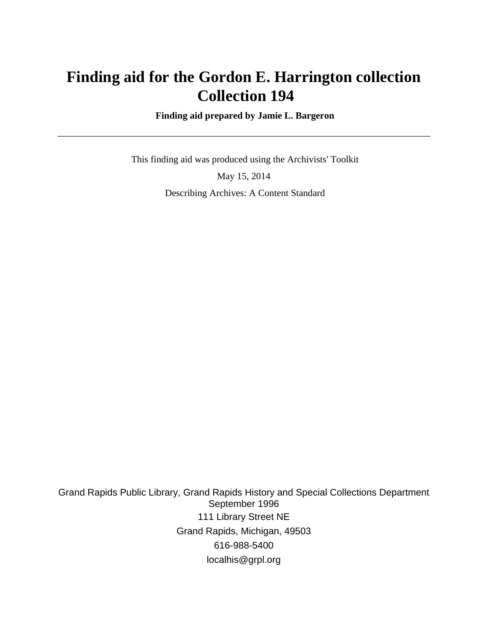# **Finding aid for the Gordon E. Harrington collection Collection 194**

 **Finding aid prepared by Jamie L. Bargeron**

 This finding aid was produced using the Archivists' Toolkit May 15, 2014 Describing Archives: A Content Standard

Grand Rapids Public Library, Grand Rapids History and Special Collections Department September 1996 111 Library Street NE Grand Rapids, Michigan, 49503 616-988-5400 localhis@grpl.org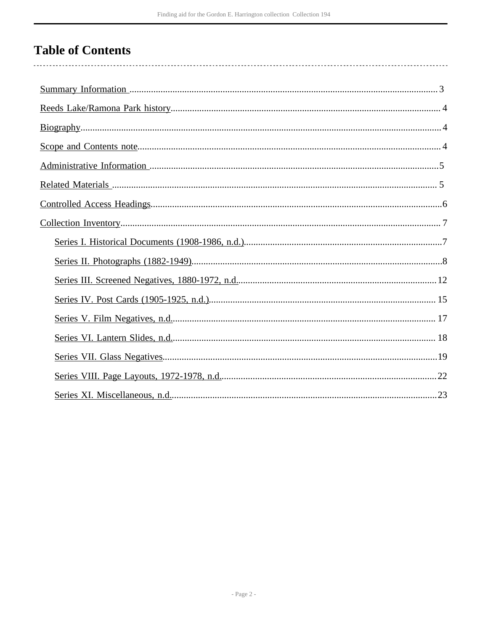# **Table of Contents**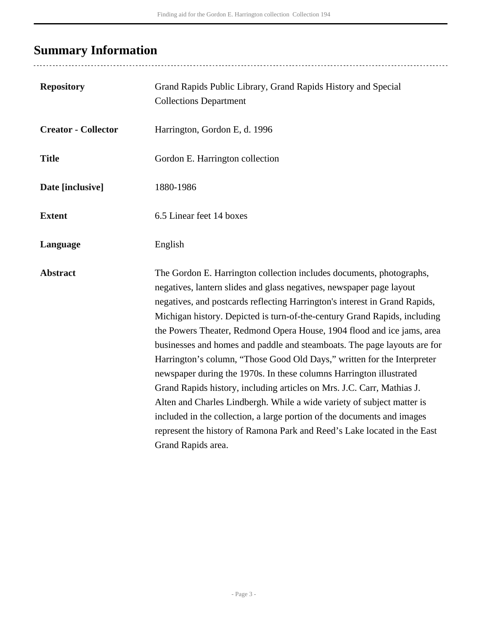# <span id="page-2-0"></span>**Summary Information**

..................................

| <b>Repository</b>          | Grand Rapids Public Library, Grand Rapids History and Special<br><b>Collections Department</b>                                                                                                                                                                                                                                                                                                                                                                                                                                                                                                                                                                                                                                                                                                                                                                                                                                                   |
|----------------------------|--------------------------------------------------------------------------------------------------------------------------------------------------------------------------------------------------------------------------------------------------------------------------------------------------------------------------------------------------------------------------------------------------------------------------------------------------------------------------------------------------------------------------------------------------------------------------------------------------------------------------------------------------------------------------------------------------------------------------------------------------------------------------------------------------------------------------------------------------------------------------------------------------------------------------------------------------|
| <b>Creator - Collector</b> | Harrington, Gordon E, d. 1996                                                                                                                                                                                                                                                                                                                                                                                                                                                                                                                                                                                                                                                                                                                                                                                                                                                                                                                    |
| <b>Title</b>               | Gordon E. Harrington collection                                                                                                                                                                                                                                                                                                                                                                                                                                                                                                                                                                                                                                                                                                                                                                                                                                                                                                                  |
| Date [inclusive]           | 1880-1986                                                                                                                                                                                                                                                                                                                                                                                                                                                                                                                                                                                                                                                                                                                                                                                                                                                                                                                                        |
| <b>Extent</b>              | 6.5 Linear feet 14 boxes                                                                                                                                                                                                                                                                                                                                                                                                                                                                                                                                                                                                                                                                                                                                                                                                                                                                                                                         |
| Language                   | English                                                                                                                                                                                                                                                                                                                                                                                                                                                                                                                                                                                                                                                                                                                                                                                                                                                                                                                                          |
| <b>Abstract</b>            | The Gordon E. Harrington collection includes documents, photographs,<br>negatives, lantern slides and glass negatives, newspaper page layout<br>negatives, and postcards reflecting Harrington's interest in Grand Rapids,<br>Michigan history. Depicted is turn-of-the-century Grand Rapids, including<br>the Powers Theater, Redmond Opera House, 1904 flood and ice jams, area<br>businesses and homes and paddle and steamboats. The page layouts are for<br>Harrington's column, "Those Good Old Days," written for the Interpreter<br>newspaper during the 1970s. In these columns Harrington illustrated<br>Grand Rapids history, including articles on Mrs. J.C. Carr, Mathias J.<br>Alten and Charles Lindbergh. While a wide variety of subject matter is<br>included in the collection, a large portion of the documents and images<br>represent the history of Ramona Park and Reed's Lake located in the East<br>Grand Rapids area. |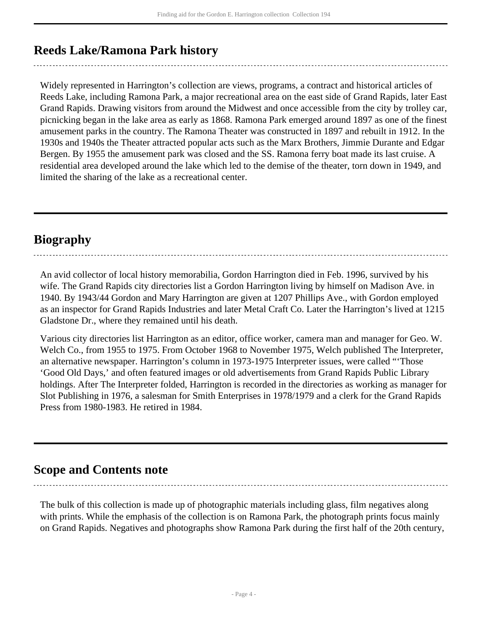## <span id="page-3-0"></span>**Reeds Lake/Ramona Park history**

Widely represented in Harrington's collection are views, programs, a contract and historical articles of Reeds Lake, including Ramona Park, a major recreational area on the east side of Grand Rapids, later East Grand Rapids. Drawing visitors from around the Midwest and once accessible from the city by trolley car, picnicking began in the lake area as early as 1868. Ramona Park emerged around 1897 as one of the finest amusement parks in the country. The Ramona Theater was constructed in 1897 and rebuilt in 1912. In the 1930s and 1940s the Theater attracted popular acts such as the Marx Brothers, Jimmie Durante and Edgar Bergen. By 1955 the amusement park was closed and the SS. Ramona ferry boat made its last cruise. A residential area developed around the lake which led to the demise of the theater, torn down in 1949, and limited the sharing of the lake as a recreational center.

## <span id="page-3-1"></span>**Biography**

An avid collector of local history memorabilia, Gordon Harrington died in Feb. 1996, survived by his wife. The Grand Rapids city directories list a Gordon Harrington living by himself on Madison Ave. in 1940. By 1943/44 Gordon and Mary Harrington are given at 1207 Phillips Ave., with Gordon employed as an inspector for Grand Rapids Industries and later Metal Craft Co. Later the Harrington's lived at 1215 Gladstone Dr., where they remained until his death.

Various city directories list Harrington as an editor, office worker, camera man and manager for Geo. W. Welch Co., from 1955 to 1975. From October 1968 to November 1975, Welch published The Interpreter, an alternative newspaper. Harrington's column in 1973-1975 Interpreter issues, were called "'Those 'Good Old Days,' and often featured images or old advertisements from Grand Rapids Public Library holdings. After The Interpreter folded, Harrington is recorded in the directories as working as manager for Slot Publishing in 1976, a salesman for Smith Enterprises in 1978/1979 and a clerk for the Grand Rapids Press from 1980-1983. He retired in 1984.

## <span id="page-3-2"></span>**Scope and Contents note**

The bulk of this collection is made up of photographic materials including glass, film negatives along with prints. While the emphasis of the collection is on Ramona Park, the photograph prints focus mainly on Grand Rapids. Negatives and photographs show Ramona Park during the first half of the 20th century,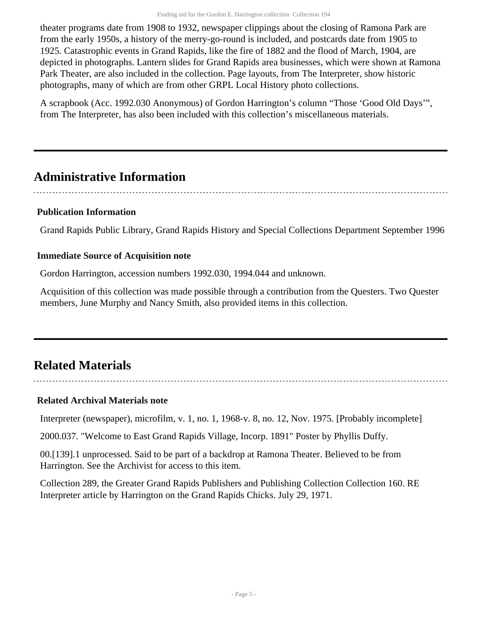theater programs date from 1908 to 1932, newspaper clippings about the closing of Ramona Park are from the early 1950s, a history of the merry-go-round is included, and postcards date from 1905 to 1925. Catastrophic events in Grand Rapids, like the fire of 1882 and the flood of March, 1904, are depicted in photographs. Lantern slides for Grand Rapids area businesses, which were shown at Ramona Park Theater, are also included in the collection. Page layouts, from The Interpreter, show historic photographs, many of which are from other GRPL Local History photo collections.

A scrapbook (Acc. 1992.030 Anonymous) of Gordon Harrington's column "Those 'Good Old Days'", from The Interpreter, has also been included with this collection's miscellaneous materials.

# <span id="page-4-0"></span>**Administrative Information**

### **Publication Information**

Grand Rapids Public Library, Grand Rapids History and Special Collections Department September 1996

### **Immediate Source of Acquisition note**

Gordon Harrington, accession numbers 1992.030, 1994.044 and unknown.

Acquisition of this collection was made possible through a contribution from the Questers. Two Quester members, June Murphy and Nancy Smith, also provided items in this collection.

# <span id="page-4-1"></span>**Related Materials**

## **Related Archival Materials note**

Interpreter (newspaper), microfilm, v. 1, no. 1, 1968-v. 8, no. 12, Nov. 1975. [Probably incomplete]

2000.037. "Welcome to East Grand Rapids Village, Incorp. 1891" Poster by Phyllis Duffy.

00.[139].1 unprocessed. Said to be part of a backdrop at Ramona Theater. Believed to be from Harrington. See the Archivist for access to this item.

Collection 289, the Greater Grand Rapids Publishers and Publishing Collection Collection 160. RE Interpreter article by Harrington on the Grand Rapids Chicks. July 29, 1971.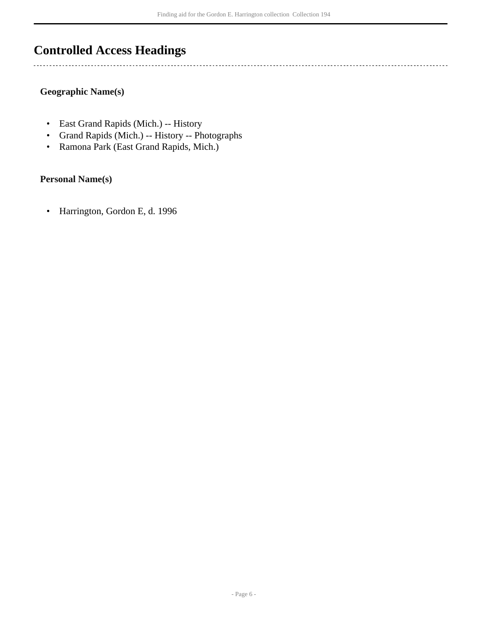# <span id="page-5-0"></span>**Controlled Access Headings**

#### **Geographic Name(s)**

 $\overline{a}$ 

- East Grand Rapids (Mich.) -- History
- Grand Rapids (Mich.) -- History -- Photographs
- Ramona Park (East Grand Rapids, Mich.)

#### **Personal Name(s)**

• Harrington, Gordon E, d. 1996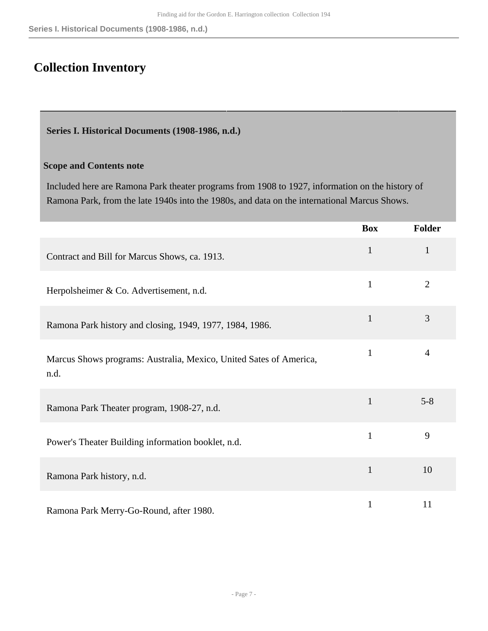# <span id="page-6-0"></span>**Collection Inventory**

<span id="page-6-1"></span>**Series I. Historical Documents (1908-1986, n.d.)** 

### **Scope and Contents note**

Included here are Ramona Park theater programs from 1908 to 1927, information on the history of Ramona Park, from the late 1940s into the 1980s, and data on the international Marcus Shows.

|                                                                            | <b>Box</b>   | <b>Folder</b>  |
|----------------------------------------------------------------------------|--------------|----------------|
| Contract and Bill for Marcus Shows, ca. 1913.                              | $\mathbf{1}$ | $\mathbf{1}$   |
| Herpolsheimer & Co. Advertisement, n.d.                                    | $\mathbf{1}$ | 2              |
| Ramona Park history and closing, 1949, 1977, 1984, 1986.                   | $\mathbf{1}$ | 3              |
| Marcus Shows programs: Australia, Mexico, United Sates of America,<br>n.d. | $\mathbf{1}$ | $\overline{4}$ |
| Ramona Park Theater program, 1908-27, n.d.                                 | $\mathbf{1}$ | $5 - 8$        |
| Power's Theater Building information booklet, n.d.                         | $\mathbf{1}$ | 9              |
| Ramona Park history, n.d.                                                  | $\mathbf{1}$ | 10             |
| Ramona Park Merry-Go-Round, after 1980.                                    | $\mathbf{1}$ | 11             |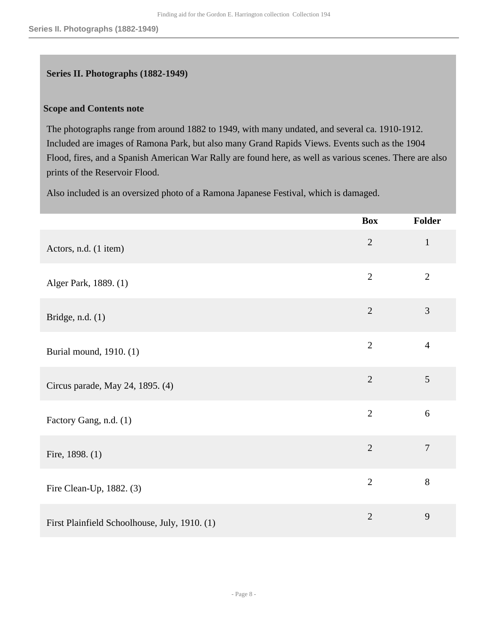#### <span id="page-7-0"></span>**Series II. Photographs (1882-1949)**

#### **Scope and Contents note**

The photographs range from around 1882 to 1949, with many undated, and several ca. 1910-1912. Included are images of Ramona Park, but also many Grand Rapids Views. Events such as the 1904 Flood, fires, and a Spanish American War Rally are found here, as well as various scenes. There are also prints of the Reservoir Flood.

Also included is an oversized photo of a Ramona Japanese Festival, which is damaged.

|                                               | <b>Box</b>     | Folder         |
|-----------------------------------------------|----------------|----------------|
| Actors, n.d. (1 item)                         | $\overline{2}$ | $\mathbf{1}$   |
| Alger Park, 1889. (1)                         | $\overline{2}$ | $\overline{2}$ |
| Bridge, n.d. $(1)$                            | $\overline{2}$ | 3              |
| Burial mound, 1910. (1)                       | $\overline{2}$ | $\overline{4}$ |
| Circus parade, May 24, 1895. (4)              | $\overline{2}$ | 5              |
| Factory Gang, n.d. (1)                        | $\overline{2}$ | 6              |
| Fire, 1898. (1)                               | $\overline{2}$ | $\overline{7}$ |
| Fire Clean-Up, 1882. (3)                      | $\overline{2}$ | $8\,$          |
| First Plainfield Schoolhouse, July, 1910. (1) | $\overline{2}$ | 9              |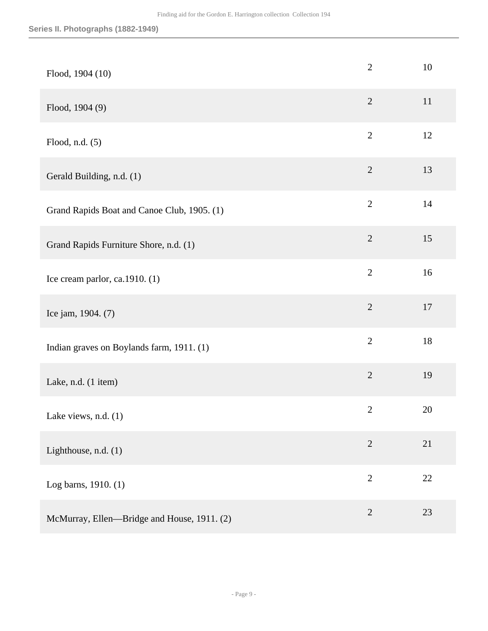| Flood, 1904 (10)                            | $\overline{2}$ | 10     |
|---------------------------------------------|----------------|--------|
| Flood, 1904 (9)                             | $\sqrt{2}$     | 11     |
| Flood, n.d. (5)                             | $\overline{2}$ | 12     |
| Gerald Building, n.d. (1)                   | $\sqrt{2}$     | 13     |
| Grand Rapids Boat and Canoe Club, 1905. (1) | $\overline{2}$ | 14     |
| Grand Rapids Furniture Shore, n.d. (1)      | $\sqrt{2}$     | 15     |
| Ice cream parlor, ca.1910. (1)              | $\overline{2}$ | 16     |
| Ice jam, 1904. (7)                          | $\overline{2}$ | 17     |
| Indian graves on Boylands farm, 1911. (1)   | $\mathbf{2}$   | 18     |
| Lake, n.d. (1 item)                         | $\overline{2}$ | 19     |
| Lake views, n.d. (1)                        | $\overline{2}$ | 20     |
| Lighthouse, n.d. (1)                        | $\sqrt{2}$     | 21     |
| Log barns, 1910. (1)                        | $\sqrt{2}$     | $22\,$ |
| McMurray, Ellen-Bridge and House, 1911. (2) | $\overline{2}$ | 23     |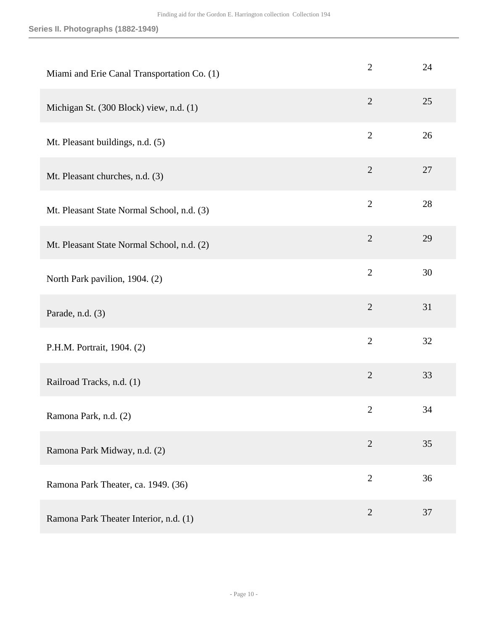| Miami and Erie Canal Transportation Co. (1) | $\overline{2}$ | 24 |
|---------------------------------------------|----------------|----|
| Michigan St. (300 Block) view, n.d. (1)     | $\mathfrak{2}$ | 25 |
| Mt. Pleasant buildings, n.d. (5)            | $\mathbf{2}$   | 26 |
| Mt. Pleasant churches, n.d. (3)             | $\mathfrak{2}$ | 27 |
| Mt. Pleasant State Normal School, n.d. (3)  | $\overline{2}$ | 28 |
| Mt. Pleasant State Normal School, n.d. (2)  | $\overline{2}$ | 29 |
| North Park pavilion, 1904. (2)              | $\overline{2}$ | 30 |
| Parade, n.d. (3)                            | $\overline{2}$ | 31 |
| P.H.M. Portrait, 1904. (2)                  | $\overline{2}$ | 32 |
| Railroad Tracks, n.d. (1)                   | $\overline{2}$ | 33 |
| Ramona Park, n.d. (2)                       | $\mathfrak{2}$ | 34 |
| Ramona Park Midway, n.d. (2)                | $\overline{2}$ | 35 |
| Ramona Park Theater, ca. 1949. (36)         | $\overline{2}$ | 36 |
| Ramona Park Theater Interior, n.d. (1)      | $\overline{2}$ | 37 |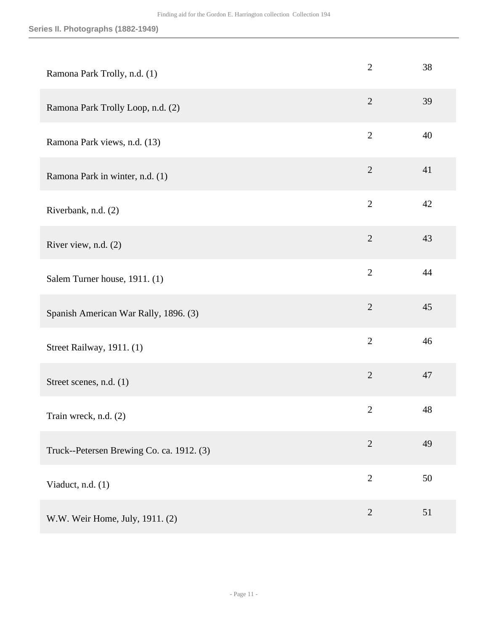| Ramona Park Trolly, n.d. (1)              | $\overline{2}$ | 38 |
|-------------------------------------------|----------------|----|
| Ramona Park Trolly Loop, n.d. (2)         | $\overline{2}$ | 39 |
| Ramona Park views, n.d. (13)              | $\overline{2}$ | 40 |
| Ramona Park in winter, n.d. (1)           | $\overline{2}$ | 41 |
| Riverbank, n.d. (2)                       | $\overline{2}$ | 42 |
| River view, n.d. (2)                      | $\sqrt{2}$     | 43 |
| Salem Turner house, 1911. (1)             | $\overline{2}$ | 44 |
| Spanish American War Rally, 1896. (3)     | $\overline{2}$ | 45 |
| Street Railway, 1911. (1)                 | $\overline{2}$ | 46 |
| Street scenes, n.d. (1)                   | $\overline{2}$ | 47 |
| Train wreck, n.d. (2)                     | $\mathbf{2}$   | 48 |
| Truck--Petersen Brewing Co. ca. 1912. (3) | $\overline{2}$ | 49 |
| Viaduct, n.d. (1)                         | $\overline{2}$ | 50 |
| W.W. Weir Home, July, 1911. (2)           | $\overline{2}$ | 51 |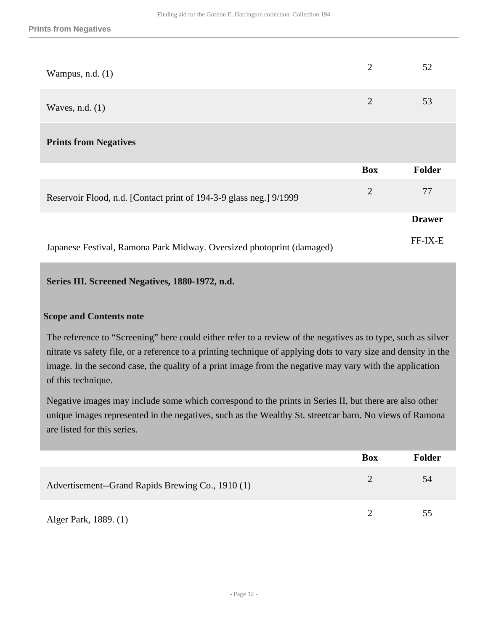| Wampus, n.d. $(1)$                                                    | $\overline{2}$ | 52            |
|-----------------------------------------------------------------------|----------------|---------------|
| Waves, n.d. $(1)$                                                     | $\overline{2}$ | 53            |
| <b>Prints from Negatives</b>                                          |                |               |
|                                                                       | <b>Box</b>     | Folder        |
| Reservoir Flood, n.d. [Contact print of 194-3-9 glass neg.] 9/1999    | $\overline{2}$ | 77            |
|                                                                       |                | <b>Drawer</b> |
| Japanese Festival, Ramona Park Midway. Oversized photoprint (damaged) |                | FF-IX-E       |

#### <span id="page-11-0"></span>**Series III. Screened Negatives, 1880-1972, n.d.**

#### **Scope and Contents note**

The reference to "Screening" here could either refer to a review of the negatives as to type, such as silver nitrate vs safety file, or a reference to a printing technique of applying dots to vary size and density in the image. In the second case, the quality of a print image from the negative may vary with the application of this technique.

Negative images may include some which correspond to the prints in Series II, but there are also other unique images represented in the negatives, such as the Wealthy St. streetcar barn. No views of Ramona are listed for this series.

|                                                   | <b>Box</b> | <b>Folder</b> |
|---------------------------------------------------|------------|---------------|
| Advertisement--Grand Rapids Brewing Co., 1910 (1) | 2          | 54            |
| Alger Park, 1889. (1)                             |            | 55            |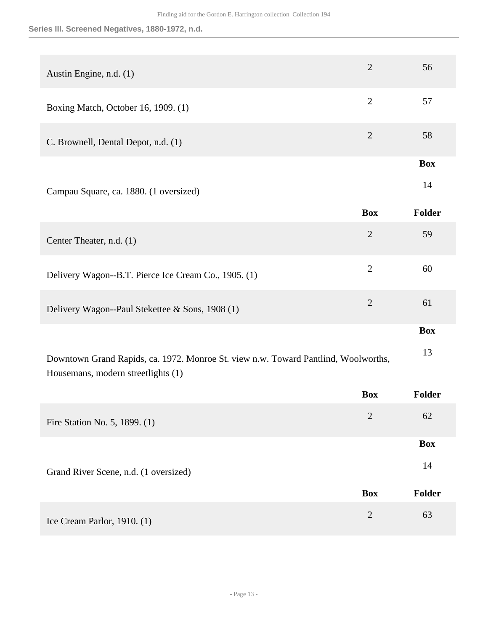**Series III. Screened Negatives, 1880-1972, n.d.**

| Austin Engine, n.d. (1)                                                                                                  | $\overline{2}$ | 56            |
|--------------------------------------------------------------------------------------------------------------------------|----------------|---------------|
| Boxing Match, October 16, 1909. (1)                                                                                      | $\overline{2}$ | 57            |
| C. Brownell, Dental Depot, n.d. (1)                                                                                      | $\overline{2}$ | 58            |
|                                                                                                                          |                | <b>Box</b>    |
| Campau Square, ca. 1880. (1 oversized)                                                                                   |                | 14            |
|                                                                                                                          | <b>Box</b>     | <b>Folder</b> |
| Center Theater, n.d. (1)                                                                                                 | $\overline{2}$ | 59            |
| Delivery Wagon--B.T. Pierce Ice Cream Co., 1905. (1)                                                                     | $\overline{2}$ | 60            |
| Delivery Wagon--Paul Stekettee & Sons, 1908 (1)                                                                          | $\overline{2}$ | 61            |
|                                                                                                                          |                | <b>Box</b>    |
| Downtown Grand Rapids, ca. 1972. Monroe St. view n.w. Toward Pantlind, Woolworths,<br>Housemans, modern streetlights (1) |                | 13            |
|                                                                                                                          | <b>Box</b>     | <b>Folder</b> |
|                                                                                                                          |                |               |

|                                       | <b>DUA</b>     | 1 viuci       |
|---------------------------------------|----------------|---------------|
| Fire Station No. 5, 1899. (1)         | $\overline{2}$ | 62            |
|                                       |                | <b>Box</b>    |
|                                       |                |               |
| Grand River Scene, n.d. (1 oversized) |                | 14            |
|                                       |                |               |
|                                       | <b>Box</b>     | <b>Folder</b> |
| Ice Cream Parlor, $1910. (1)$         | $\overline{2}$ | 63            |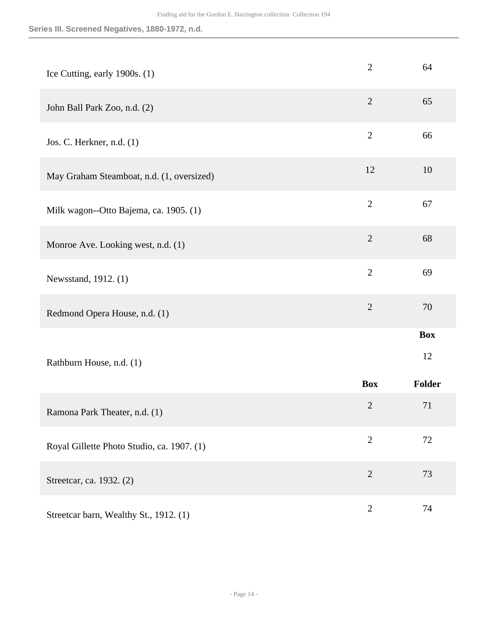**Series III. Screened Negatives, 1880-1972, n.d.**

| Ice Cutting, early 1900s. (1)              | $\overline{2}$ | 64               |
|--------------------------------------------|----------------|------------------|
| John Ball Park Zoo, n.d. (2)               | $\overline{2}$ | 65               |
| Jos. C. Herkner, n.d. (1)                  | $\overline{2}$ | 66               |
| May Graham Steamboat, n.d. (1, oversized)  | 12             | 10               |
| Milk wagon--Otto Bajema, ca. 1905. (1)     | $\overline{2}$ | 67               |
| Monroe Ave. Looking west, n.d. (1)         | $\overline{2}$ | 68               |
| Newsstand, 1912. (1)                       | $\overline{2}$ | 69               |
| Redmond Opera House, n.d. (1)              | $\overline{2}$ | 70               |
| Rathburn House, n.d. (1)                   |                | <b>Box</b><br>12 |
|                                            | <b>Box</b>     | Folder           |
| Ramona Park Theater, n.d. (1)              | $\mathbf{2}$   | 71               |
| Royal Gillette Photo Studio, ca. 1907. (1) | $\overline{2}$ | 72               |
| Streetcar, ca. 1932. (2)                   | $\overline{2}$ | 73               |
| Streetcar barn, Wealthy St., 1912. (1)     | $\overline{2}$ | 74               |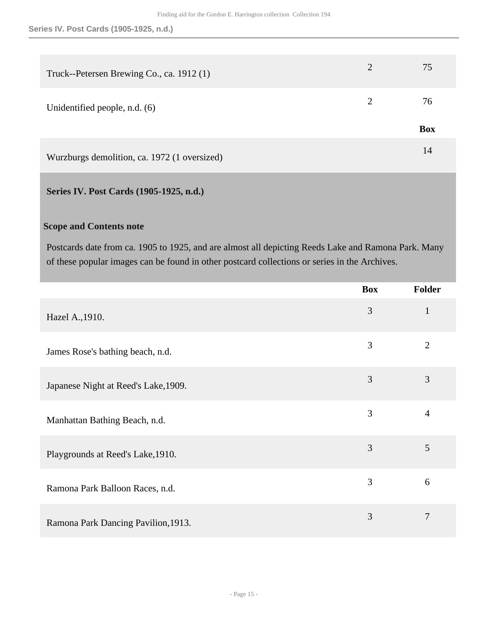| Truck--Petersen Brewing Co., ca. 1912 (1)    | 2              | 75         |
|----------------------------------------------|----------------|------------|
| Unidentified people, n.d. (6)                | $\overline{2}$ | 76         |
|                                              |                | <b>Box</b> |
| Wurzburgs demolition, ca. 1972 (1 oversized) |                | 14         |

#### <span id="page-14-0"></span>**Series IV. Post Cards (1905-1925, n.d.)**

#### **Scope and Contents note**

Postcards date from ca. 1905 to 1925, and are almost all depicting Reeds Lake and Ramona Park. Many of these popular images can be found in other postcard collections or series in the Archives.

|                                      | <b>Box</b> | Folder         |
|--------------------------------------|------------|----------------|
| Hazel A., 1910.                      | 3          | $\mathbf{1}$   |
| James Rose's bathing beach, n.d.     | 3          | $\overline{2}$ |
| Japanese Night at Reed's Lake, 1909. | 3          | 3              |
| Manhattan Bathing Beach, n.d.        | 3          | $\overline{4}$ |
| Playgrounds at Reed's Lake, 1910.    | 3          | 5              |
| Ramona Park Balloon Races, n.d.      | 3          | 6              |
| Ramona Park Dancing Pavilion, 1913.  | 3          | 7              |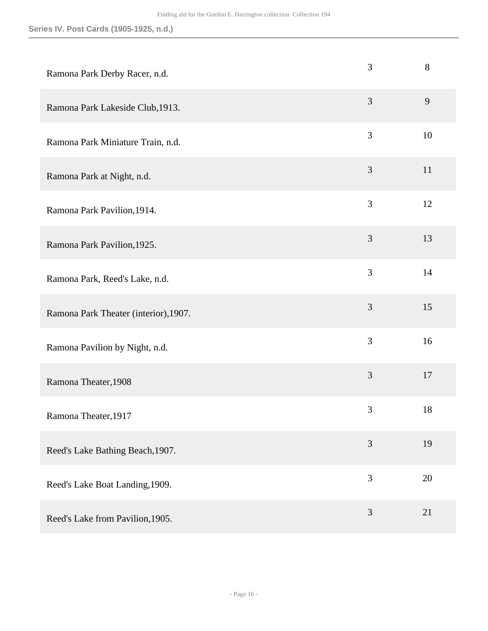| Ramona Park Derby Racer, n.d.         | 3              | 8  |
|---------------------------------------|----------------|----|
| Ramona Park Lakeside Club, 1913.      | 3              | 9  |
| Ramona Park Miniature Train, n.d.     | 3              | 10 |
| Ramona Park at Night, n.d.            | $\mathfrak{Z}$ | 11 |
| Ramona Park Pavilion, 1914.           | 3              | 12 |
| Ramona Park Pavilion, 1925.           | 3              | 13 |
| Ramona Park, Reed's Lake, n.d.        | 3              | 14 |
| Ramona Park Theater (interior), 1907. | 3              | 15 |
| Ramona Pavilion by Night, n.d.        | 3              | 16 |
| Ramona Theater, 1908                  | 3              | 17 |
| Ramona Theater, 1917                  | $\mathfrak{Z}$ | 18 |
| Reed's Lake Bathing Beach, 1907.      | 3              | 19 |
| Reed's Lake Boat Landing, 1909.       | 3              | 20 |
| Reed's Lake from Pavilion, 1905.      | $\mathfrak{Z}$ | 21 |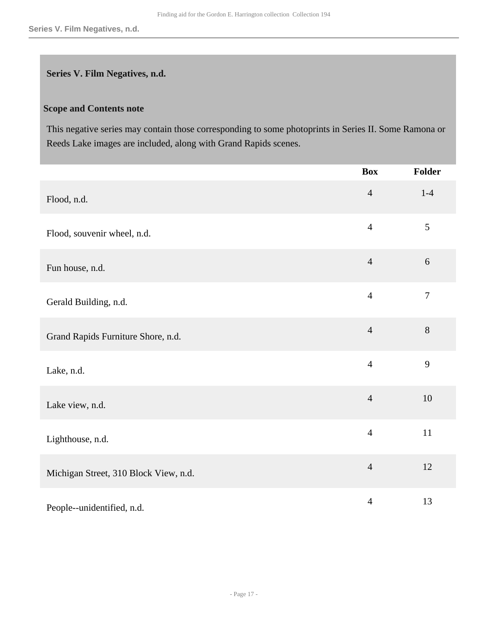#### <span id="page-16-0"></span>**Series V. Film Negatives, n.d.**

#### **Scope and Contents note**

This negative series may contain those corresponding to some photoprints in Series II. Some Ramona or Reeds Lake images are included, along with Grand Rapids scenes.

|                                       | <b>Box</b>     | Folder         |
|---------------------------------------|----------------|----------------|
| Flood, n.d.                           | $\overline{4}$ | $1 - 4$        |
| Flood, souvenir wheel, n.d.           | $\overline{4}$ | 5              |
| Fun house, n.d.                       | $\overline{4}$ | $6\,$          |
| Gerald Building, n.d.                 | $\overline{4}$ | $\overline{7}$ |
| Grand Rapids Furniture Shore, n.d.    | $\overline{4}$ | $8\,$          |
| Lake, n.d.                            | $\overline{4}$ | 9              |
| Lake view, n.d.                       | $\overline{4}$ | $10\,$         |
| Lighthouse, n.d.                      | $\overline{4}$ | 11             |
| Michigan Street, 310 Block View, n.d. | $\overline{4}$ | 12             |
| People--unidentified, n.d.            | $\overline{4}$ | 13             |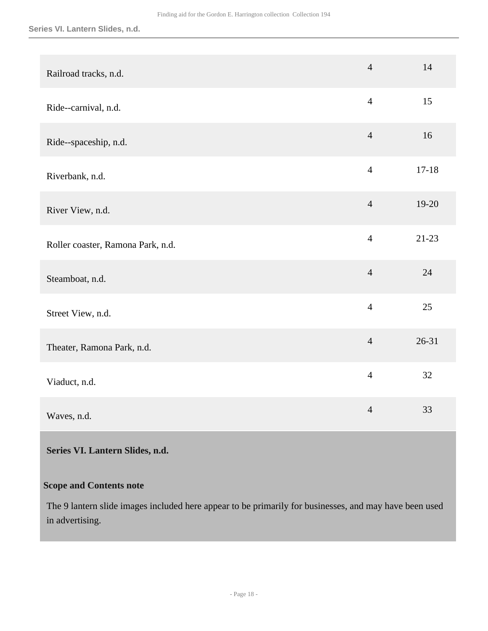**Series VI. Lantern Slides, n.d.**

| Railroad tracks, n.d.             | $\overline{4}$ | 14        |
|-----------------------------------|----------------|-----------|
| Ride--carnival, n.d.              | $\overline{4}$ | 15        |
| Ride--spaceship, n.d.             | $\overline{4}$ | 16        |
| Riverbank, n.d.                   | $\overline{4}$ | $17 - 18$ |
| River View, n.d.                  | $\overline{4}$ | 19-20     |
| Roller coaster, Ramona Park, n.d. | $\overline{4}$ | $21-23$   |
| Steamboat, n.d.                   | $\overline{4}$ | 24        |
| Street View, n.d.                 | $\overline{4}$ | 25        |
| Theater, Ramona Park, n.d.        | $\overline{4}$ | $26 - 31$ |
| Viaduct, n.d.                     | $\overline{4}$ | 32        |
| Waves, n.d.                       | $\overline{4}$ | 33        |

### <span id="page-17-0"></span>**Series VI. Lantern Slides, n.d.**

### **Scope and Contents note**

The 9 lantern slide images included here appear to be primarily for businesses, and may have been used in advertising.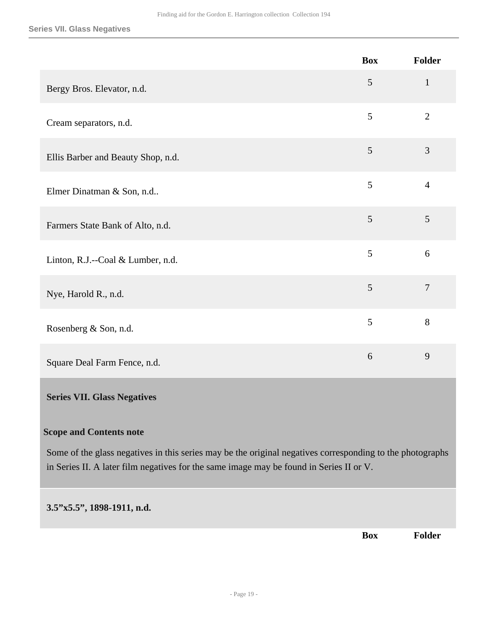|                                    | <b>Box</b> | Folder         |
|------------------------------------|------------|----------------|
| Bergy Bros. Elevator, n.d.         | 5          | $\mathbf{1}$   |
| Cream separators, n.d.             | 5          | $\overline{2}$ |
| Ellis Barber and Beauty Shop, n.d. | 5          | 3              |
| Elmer Dinatman & Son, n.d          | 5          | $\overline{4}$ |
| Farmers State Bank of Alto, n.d.   | 5          | 5              |
| Linton, R.J.--Coal & Lumber, n.d.  | 5          | 6              |
| Nye, Harold R., n.d.               | 5          | $\overline{7}$ |
| Rosenberg & Son, n.d.              | 5          | $8\,$          |
| Square Deal Farm Fence, n.d.       | 6          | 9              |
| <b>Series VII. Glass Negatives</b> |            |                |

#### <span id="page-18-0"></span>**Scope and Contents note**

Some of the glass negatives in this series may be the original negatives corresponding to the photographs in Series II. A later film negatives for the same image may be found in Series II or V.

#### **3.5"x5.5", 1898-1911, n.d.**

**Box Folder**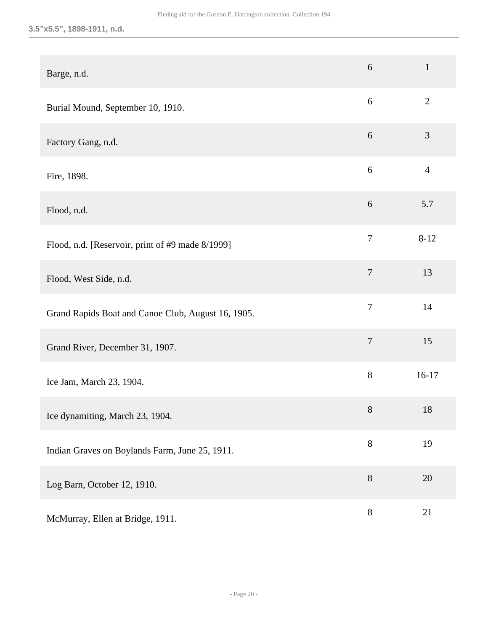### **3.5"x5.5", 1898-1911, n.d.**

| Barge, n.d.                                        | 6                | $\mathbf{1}$   |
|----------------------------------------------------|------------------|----------------|
| Burial Mound, September 10, 1910.                  | 6                | $\overline{2}$ |
| Factory Gang, n.d.                                 | 6                | 3              |
| Fire, 1898.                                        | 6                | $\overline{4}$ |
| Flood, n.d.                                        | $\boldsymbol{6}$ | 5.7            |
| Flood, n.d. [Reservoir, print of #9 made 8/1999]   | $\overline{7}$   | $8 - 12$       |
| Flood, West Side, n.d.                             | $\overline{7}$   | 13             |
| Grand Rapids Boat and Canoe Club, August 16, 1905. | $\tau$           | 14             |
| Grand River, December 31, 1907.                    | $\boldsymbol{7}$ | 15             |
| Ice Jam, March 23, 1904.                           | $8\,$            | $16-17$        |
| Ice dynamiting, March 23, 1904.                    | 8                | 18             |
| Indian Graves on Boylands Farm, June 25, 1911.     | $8\,$            | 19             |
| Log Barn, October 12, 1910.                        | $8\,$            | 20             |
| McMurray, Ellen at Bridge, 1911.                   | $8\,$            | 21             |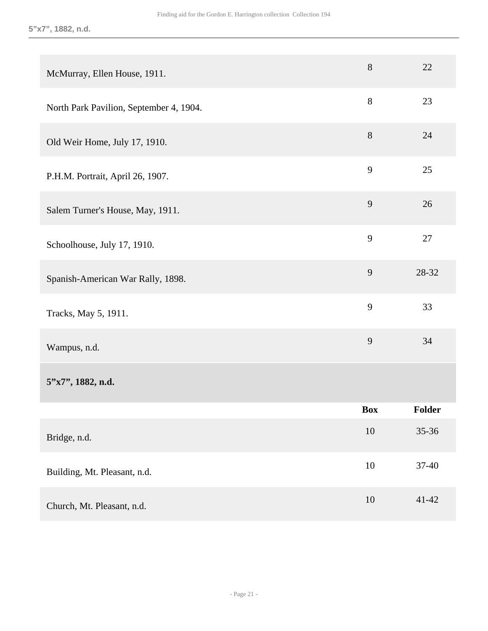| McMurray, Ellen House, 1911.            | $8\,$      | 22        |
|-----------------------------------------|------------|-----------|
| North Park Pavilion, September 4, 1904. | 8          | 23        |
| Old Weir Home, July 17, 1910.           | 8          | 24        |
| P.H.M. Portrait, April 26, 1907.        | 9          | 25        |
| Salem Turner's House, May, 1911.        | 9          | 26        |
| Schoolhouse, July 17, 1910.             | 9          | 27        |
| Spanish-American War Rally, 1898.       | 9          | 28-32     |
| Tracks, May 5, 1911.                    | 9          | 33        |
| Wampus, n.d.                            | 9          | 34        |
| 5"x7", 1882, n.d.                       |            |           |
|                                         | <b>Box</b> | Folder    |
| Bridge, n.d.                            | $10\,$     | 35-36     |
| Building, Mt. Pleasant, n.d.            | $10\,$     | 37-40     |
| Church, Mt. Pleasant, n.d.              | 10         | $41 - 42$ |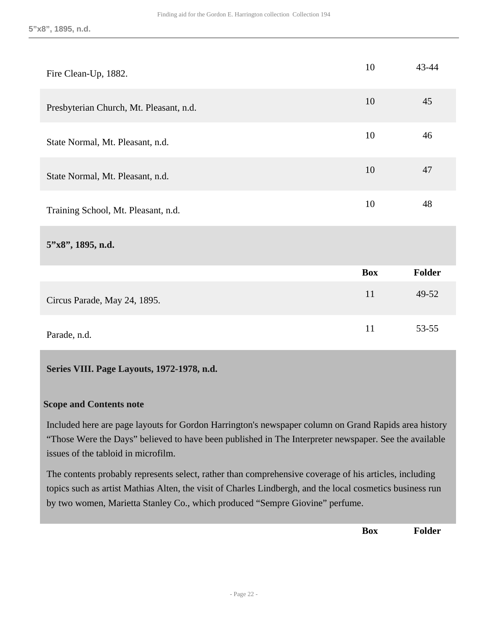| Fire Clean-Up, 1882.                    | 10         | 43-44         |
|-----------------------------------------|------------|---------------|
| Presbyterian Church, Mt. Pleasant, n.d. | 10         | 45            |
| State Normal, Mt. Pleasant, n.d.        | 10         | 46            |
| State Normal, Mt. Pleasant, n.d.        | 10         | 47            |
| Training School, Mt. Pleasant, n.d.     | 10         | 48            |
| $5"x8"$ , 1895, n.d.                    |            |               |
|                                         | <b>Box</b> | <b>Folder</b> |
| Circus Parade, May 24, 1895.            | 11         | 49-52         |
| Parade, n.d.                            | 11         | $53 - 55$     |

#### <span id="page-21-0"></span>**Series VIII. Page Layouts, 1972-1978, n.d.**

#### **Scope and Contents note**

Included here are page layouts for Gordon Harrington's newspaper column on Grand Rapids area history "Those Were the Days" believed to have been published in The Interpreter newspaper. See the available issues of the tabloid in microfilm.

The contents probably represents select, rather than comprehensive coverage of his articles, including topics such as artist Mathias Alten, the visit of Charles Lindbergh, and the local cosmetics business run by two women, Marietta Stanley Co., which produced "Sempre Giovine" perfume.

**Box Folder**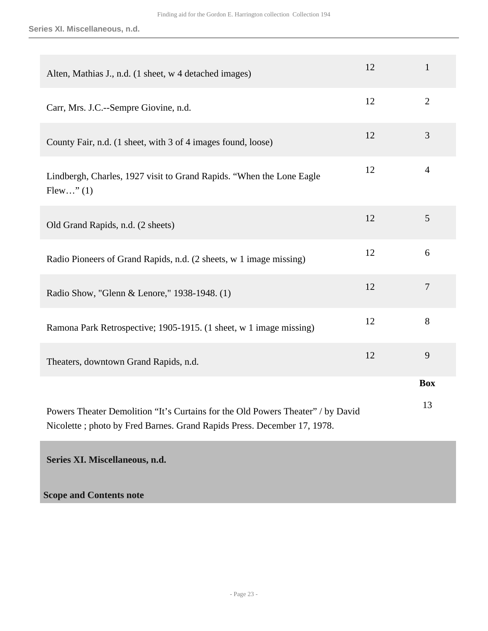**Series XI. Miscellaneous, n.d.**

| Alten, Mathias J., n.d. (1 sheet, w 4 detached images)                                                                                                     | 12 | $\mathbf{1}$   |
|------------------------------------------------------------------------------------------------------------------------------------------------------------|----|----------------|
| Carr, Mrs. J.C.--Sempre Giovine, n.d.                                                                                                                      | 12 | $\overline{2}$ |
| County Fair, n.d. (1 sheet, with 3 of 4 images found, loose)                                                                                               | 12 | 3              |
| Lindbergh, Charles, 1927 visit to Grand Rapids. "When the Lone Eagle<br>Flew" $(1)$                                                                        | 12 | $\overline{4}$ |
| Old Grand Rapids, n.d. (2 sheets)                                                                                                                          | 12 | 5              |
| Radio Pioneers of Grand Rapids, n.d. (2 sheets, w 1 image missing)                                                                                         | 12 | 6              |
| Radio Show, "Glenn & Lenore," 1938-1948. (1)                                                                                                               | 12 | $\overline{7}$ |
| Ramona Park Retrospective; 1905-1915. (1 sheet, w 1 image missing)                                                                                         | 12 | 8              |
| Theaters, downtown Grand Rapids, n.d.                                                                                                                      | 12 | 9              |
|                                                                                                                                                            |    | <b>Box</b>     |
| Powers Theater Demolition "It's Curtains for the Old Powers Theater" / by David<br>Nicolette; photo by Fred Barnes. Grand Rapids Press. December 17, 1978. |    | 13             |

<span id="page-22-0"></span>**Series XI. Miscellaneous, n.d.** 

**Scope and Contents note**